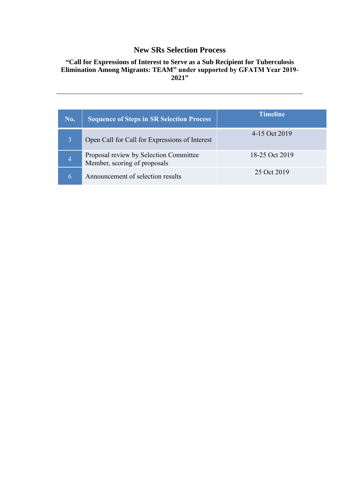# **New SRs Selection Process**

## **"Call for Expressions of Interest to Serve as a Sub Recipient for Tuberculosis Elimination Among Migrants: TEAM" under supported by GFATM Year 2019- 2021"**

| No.            | <b>Sequence of Steps in SR Selection Process</b>                       | <b>Timeline</b> |
|----------------|------------------------------------------------------------------------|-----------------|
|                | Open Call for Call for Expressions of Interest                         | 4-15 Oct 2019   |
| $\overline{4}$ | Proposal review by Selection Committee<br>Member, scoring of proposals | 18-25 Oct 2019  |
| 6              | Announcement of selection results                                      | 25 Oct 2019     |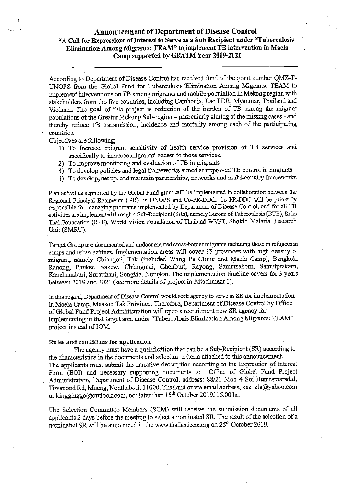## **Announcement of Department of Disease Control** "A Call for Expressions of Interest to Serve as a Sub Recipient under "Tuberculosis Elimination Among Migrants: TEAM" to implement TB intervention in Maela Camp supported by GFATM Year 2019-2021

According to Department of Disease Control has received fund of the grant number QMZ-T-UNOPS from the Global Fund for Tuberculosis Elimination Among Migrants: TEAM to implement interventions on TB among migrants and mobile population in Mekong region with stakeholders from the five countries, including Cambodia, Lao PDR, Myanmar, Thailand and Vietnam. The goal of this project is reduction of the burden of TB among the migrant populations of the Greater Mekong Sub-region - particularly aiming at the missing cases - and thereby reduce TB transmission, incidence and mortality among each of the participating countries.

Objectives are following:

- 1) To Increase migrant sensitivity of health service provision of TB services and specifically to increase migrants' access to those services.
- 2) To improve monitoring and evaluation of TB in migrants
- 3) To develop policies and legal frameworks aimed at improved TB control in migrants
- 4) To develop, set up, and maintain partnerships, networks and multi-country frameworks

Plan activities supported by the Global Fund grant will be implemented in collaboration between the Regional Principal Recipients (PR) is UNOPS and Co-PR-DDC. Co PR-DDC will be primarily responsible for managing programs implemented by Department of Disease Control, and for all TB activities are implemented through 4 Sub-Recipient (SRs), namely Bureau of Tuberculosis (BTB), Raks Thai Foundation (RTF), World Vision Foundation of Thailand WVFT, Shoklo Malaria Research Unit (SMRU).

Target Group are documented and undocumented cross-border migrants including those in refugees in camps and urban settings. Implementation areas will cover 15 provinces with high density of migrant, namely Chiangrai, Tak (included Wang Pa Clinic and Maela Camp), Bangkok, Ranong, Phuket, Sakew, Chiangmai, Chonburi, Rayong, Samutsakorn, Samutprakarn, Kanchanaburi, Suratthani, Songkla, Nongkai. The implementation timeline covers for 3 years between 2019 and 2021 (see more details of project in Attachment 1).

In this regard, Department of Disease Control would seek agency to serve as SR for implementation in Maela Camp, Measod Tak Province. Therefore, Department of Disease Control by Office of Global Fund Project Administration will open a recruitment new SR agency for implementing in that target area under "Tuberculosis Elimination Among Migrants: TEAM" project instead of IOM.

#### Rules and conditions for application

The agency must have a qualification that can be a Sub-Recipient (SR) according to the characteristics in the documents and selection criteria attached to this announcement. The applicants must submit the narrative description according to the Expression of Interest Form (EOI) and necessary supporting documents to Office of Global Fund Project Administration, Department of Disease Control, address: 88/21 Moo 4 Soi Bumratnaradul, Tiwanond Rd, Muang, Nonthaburi, 11000, Thailand or via email address, kes kla@yahoo.com or kingginggo@outlook.com, not later than 15<sup>th</sup> October 2019, 16.00 hr.

The Selection Committee Members (SCM) will receive the submission documents of all applicants 2 days before the meeting to select a nominated SR. The result of the selection of a nominated SR will be announced in the www.thailandccm.org on 25<sup>th</sup> October 2019.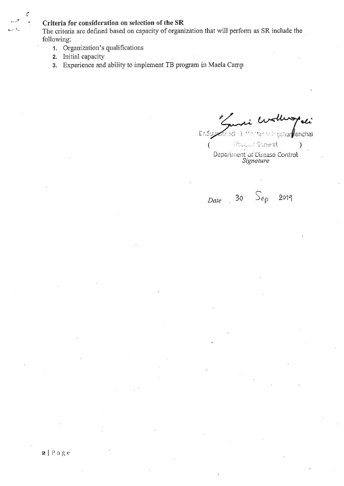## Criteria for consideration on selection of the SR

The criteria are defined based on capacity of organization that will perform as SR include the following:

- 1. Organization's qualifications
- 2. Initial capacity

 $\zeta$ 

3. Experience and ability to implement TB program in Maela Camp

 $C\tau.S$ schar*ll*enchal mei 1 <sup>van</sup>

Chuck riddered  $\overline{(\ }$  $\lambda$ Department of Disease Control<br>Signature

Date 30  $\mathcal{S}_{ep}$  2019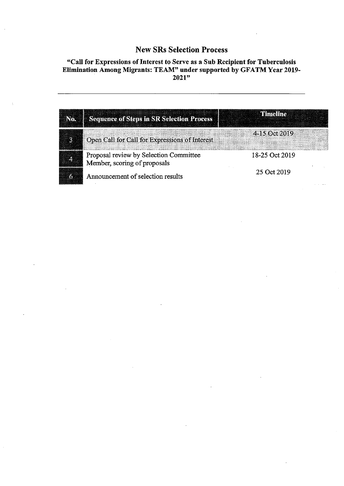# **New SRs Selection Process**

# "Call for Expressions of Interest to Serve as a Sub Recipient for Tuberculosis<br>Elimination Among Migrants: TEAM" under supported by GFATM Year 2019-<br>2021"

| No. Sequence of Steps in SR Selection Process                          |                |
|------------------------------------------------------------------------|----------------|
| Open Call for Call for Expressions of Interest                         | 4-15 Oct 2019  |
| Proposal review by Selection Committee<br>Member, scoring of proposals | 18-25 Oct 2019 |
| Announcement of selection results                                      | 25 Oct 2019    |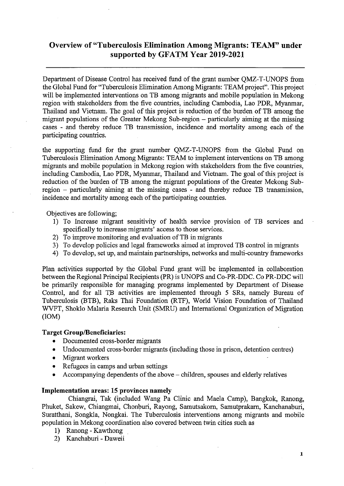# Overview of "Tuberculosis Elimination Among Migrants: TEAM" under supported by GFATM Year 2019-2021

Department of Disease Control has received fund of the grant number QMZ-T-UNOPS from the Global Fund for "Tuberculosis Elimination Among Migrants: TEAM project". This project will be implemented interventions on TB among migrants and mobile population in Mekong region with stakeholders from the five countries, including Cambodia, Lao PDR, Myanmar, Thailand and Vietnam. The goal of this project is reduction of the burden of TB among the migrant populations of the Greater Mekong Sub-region – particularly aiming at the missing cases - and thereby reduce TB transmission, incidence and mortality among each of the participating countries.

the supporting fund for the grant number QMZ-T-UNOPS from the Global Fund on Tuberculosis Elimination Among Migrants: TEAM to implement interventions on TB among migrants and mobile population in Mekong region with stakeholders from the five countries, including Cambodia, Lao PDR, Myanmar, Thailand and Vietnam. The goal of this project is reduction of the burden of TB among the migrant populations of the Greater Mekong Subregion – particularly aiming at the missing cases - and thereby reduce TB transmission, incidence and mortality among each of the participating countries.

Objectives are following;

- 1) To Increase migrant sensitivity of health service provision of TB services and specifically to increase migrants' access to those services.
- 2) To improve monitoring and evaluation of TB in migrants
- 3) To develop policies and legal frameworks aimed at improved TB control in migrants
- 4) To develop, set up, and maintain partnerships, networks and multi-country frameworks

Plan activities supported by the Global Fund grant will be implemented in collaboration between the Regional Principal Recipients (PR) is UNOPS and Co-PR-DDC. Co PR-DDC will be primarily responsible for managing programs implemented by Department of Disease Control, and for all TB activities are implemented through 5 SRs, namely Bureau of Tuberculosis (BTB), Raks Thai Foundation (RTF), World Vision Foundation of Thailand WVFT, Shoklo Malaria Research Unit (SMRU) and International Organization of Migration  $(10M)$ 

#### **Target Group/Beneficiaries:**

- Documented cross-border migrants  $\bullet$
- Undocumented cross-border migrants (including those in prison, detention centres)
- Migrant workers
- Refugees in camps and urban settings
- Accompanying dependents of the above children, spouses and elderly relatives

#### Implementation areas: 15 provinces namely

Chiangrai, Tak (included Wang Pa Clinic and Maela Camp), Bangkok, Ranong, Phuket, Sakew, Chiangmai, Chonburi, Rayong, Samutsakorn, Samutprakarn, Kanchanaburi, Suratthani, Songkla, Nongkai. The Tuberculosis interventions among migrants and mobile population in Mekong coordination also covered between twin cities such as

- Ranong Kawthong  $1)$
- 2) Kanchaburi Daweii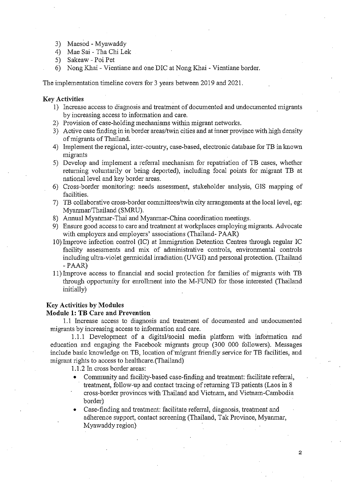- 3) Maesod Myawaddy
- 4) Mae Sai Tha Chi Lek
- 5) Sakeaw Poi Pet
- 6) Nong Khai Vientiane and one DIC at Nong Khai Vientiane border.

The implementation timeline covers for 3 years between 2019 and 2021.

#### **Key Activities**

- 1) Increase access to diagnosis and treatment of documented and undocumented migrants by increasing access to information and care.
- 2) Provision of case-holding mechanisms within migrant networks.
- 3) Active case finding in in border areas/twin cities and at inner province with high density of migrants of Thailand.
- 4) Implement the regional, inter-country, case-based, electronic database for TB in known migrants
- 5) Develop and implement a referral mechanism for repatriation of TB cases, whether returning voluntarily or being deported), including focal points for migrant TB at national level and key border areas.
- 6) Cross-border monitoring: needs assessment, stakeholder analysis, GIS mapping of facilities.
- 7) TB collaborative cross-border committees/twin city arrangements at the local level, eg: Myanmar/Thailand (SMRU).
- 8) Annual Myanmar-Thai and Myanmar-China coordination meetings.
- 9) Ensure good access to care and treatment at workplaces employing migrants. Advocate with employers and employers' associations (Thailand-PAAR)
- 10) Improve infection control (IC) at Immigration Detention Centres through regular IC facility assessments and mix of administrative controls, environmental controls including ultra-violet germicidal irradiation (UVGI) and personal protection. (Thailand  $- PAAR$
- 11) Improve access to financial and social protection for families of migrants with TB through opportunity for enrollment into the M-FUND for those interested (Thailand initially)

#### **Key Activities by Modules**

#### **Module 1: TB Care and Prevention**

1.1 Increase access to diagnosis and treatment of documented and undocumented migrants by increasing access to information and care.

1.1.1 Development of a digital/social media platform with information and education and engaging the Facebook migrants group (300 000 followers). Messages include basic knowledge on TB, location of migrant friendly service for TB facilities, and migrant rights to access to healthcare. (Thailand)

1.1.2 In cross border areas:

- Community and facility-based case-finding and treatment: facilitate referral, treatment, follow-up and contact tracing of returning TB patients (Laos in 8) cross-border provinces with Thailand and Vietnam, and Vietnam-Cambodia border)
- Case-finding and treatment: facilitate referral, diagnosis, treatment and adherence support, contact screening (Thailand, Tak Province, Myanmar, Myawaddy region)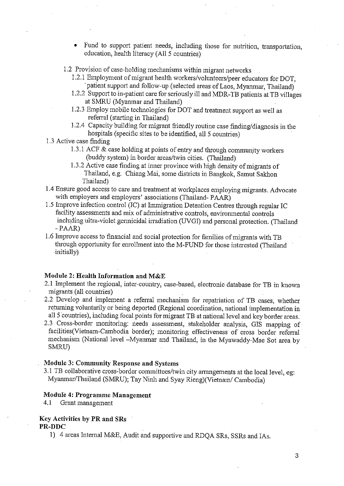- Fund to support patient needs, including those for nutrition, transportation, education, health literacy (All 5 countries)
- 1.2 Provision of case-holding mechanisms within migrant networks
	- 1.2.1 Employment of migrant health workers/volunteers/peer educators for DOT, patient support and follow-up (selected areas of Laos, Myanmar, Thailand)
	- 1.2.2 Support to in-patient care for seriously ill and MDR-TB patients at TB villages at SMRU (Myanmar and Thailand)
	- 1.2.3 Employ mobile technologies for DOT and treatment support as well as referral (starting in Thailand)
	- 1.2.4 Capacity building for migrant friendly routine case finding/diagnosis in the hospitals (specific sites to be identified, all 5 countries)
- 1.3 Active case finding
	- 1.3.1 ACF & case holding at points of entry and through community workers (buddy system) in border areas/twin cities. (Thailand)
	- 1.3.2 Active case finding at inner province with high density of migrants of Thailand, e.g. Chiang Mai, some districts in Bangkok, Samut Sakhon Thailand)
- 1.4 Ensure good access to care and treatment at workplaces employing migrants. Advocate with employers and employers' associations (Thailand-PAAR)
- 1.5 Improve infection control (IC) at Immigration Detention Centres through regular IC facility assessments and mix of administrative controls, environmental controls including ultra-violet germicidal irradiation (UVGI) and personal protection. (Thailand  $- P A R$
- 1.6 Improve access to financial and social protection for families of migrants with TB through opportunity for enrollment into the M-FUND for those interested (Thailand initially)

#### Module 2: Health Information and M&E

- 2.1 Implement the regional, inter-country, case-based, electronic database for TB in known migrants (all countries)
- 2.2 Develop and implement a referral mechanism for repatriation of TB cases, whether returning voluntarily or being deported (Regional coordination, national implementation in all 5 countries), including focal points for migrant TB at national level and key border areas.
- 2.3 Cross-border monitoring: needs assessment, stakeholder analysis, GIS mapping of facilities(Vietnam-Cambodia border); monitoring effectiveness of cross border referral mechanism (National level -Myanmar and Thailand, in the Myawaddy-Mae Sot area by SMRU)

#### **Module 3: Community Response and Systems**

3.1 TB collaborative cross-border committees/twin city arrangements at the local level, eg: Myanmar/Thailand (SMRU); Tay Ninh and Syay Rieng)(Vietnam/Cambodia)

#### Module 4: Programme Management

4.1 Grant management

#### Key Activities by PR and SRs PR-DDC

1) 4 areas Internal M&E, Audit and supportive and RDQA SRs, SSRs and IAs.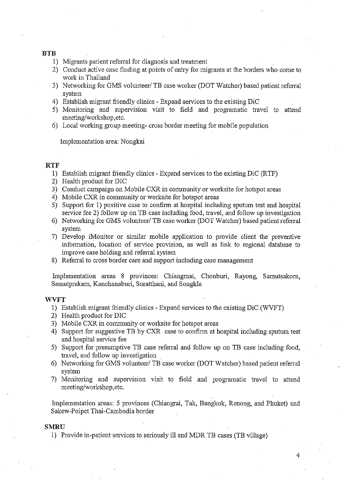#### **BTB**

- 1) Migrants patient referral for diagnosis and treatment
- 2) Conduct active case finding at points of entry for migrants at the borders who come to work in Thailand
- 3) Networking for GMS volunteer/ TB case worker (DOT Watcher) based patient referral system
- 4) Establish migrant friendly clinics Expand services to the existing DiC
- 5) Monitoring and supervision visit to field and programatic travel to attend meeting/workshop.etc.
- 6) Local working group meeting-cross border meeting for mobile population

Implementation area: Nongkai

#### **RTF**

- 1) Establish migrant friendly clinics Expand services to the existing DiC (RTF)
- 2) Health product for DIC
- 3) Conduct campaign on Mobile CXR in community or worksite for hotspot areas
- 4) Mobile CXR in community or worksite for hotspot areas
- 5) Support for 1) positive case to confirm at hospital including sputum test and hospital service fee 2) follow up on TB case including food, travel, and follow up investigation
- 6) Networking for GMS volunteer/ TB case worker (DOT Watcher) based patient referral system
- 7) Develop iMonitor or similar mobile application to provide client the preventive information, location of service provision, as well as link to regional database to improve case holding and referral system
- 8) Referral to cross border care and support including case management

Implementation areas 8 provinces: Chiangmai, Chonburi, Rayong, Samutsakorn, Samutprakarn, Kanchanaburi, Suratthani, and Songkla

#### **WVFT**

- 1) Establish migrant friendly clinics Expand services to the existing DiC (WVFT)
- 2) Health product for DIC
- 3) Mobile CXR in community or worksite for hotspot areas
- 4) Support for suggestive TB by CXR case to confirm at hospital including sputum test and hospital service fee
- 5) Support for presumptive TB case referral and follow up on TB case including food, travel, and follow up investigation
- 6) Networking for GMS volunteer/ TB case worker (DOT Watcher) based patient referral system
- 7) Monitoring and supervision visit to field and programatic travel to attend meeting/workshop.etc.

Implementation areas: 5 provinces (Chiangrai, Tak, Bangkok, Renong, and Phuket) and Sakew-Poipet Thai-Cambodia border

#### **SMRII**

1) Provide in-patient services to seriously ill and MDR TB cases (TB village)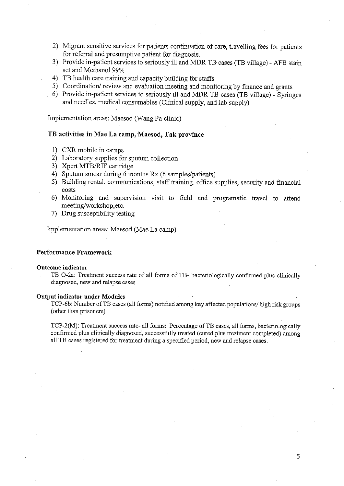- 2) Migrant sensitive services for patients continuation of care, travelling fees for patients for referral and presumptive patient for diagnosis.
- 3) Provide in-patient services to seriously ill and MDR TB cases (TB village) AFB stain set and Methanol 99%
- 4) TB health care training and capacity building for staffs
- 5) Coordination/review and evaluation meeting and monitoring by finance and grants
- 6) Provide in-patient services to seriously ill and MDR TB cases (TB village) Syringes and needles, medical consumables (Clinical supply, and lab supply)

Implementation areas: Maesod (Wang Pa clinic)

#### TB activities in Mae La camp, Maesod, Tak province

- 1) CXR mobile in camps
- 2) Laboratory supplies for sputum collection
- 3) Xpert MTB/RIF cartridge
- 4) Sputum smear during 6 months Rx (6 samples/patients)
- 5) Building rental, communications, staff training, office supplies, security and financial costs
- 6) Monitoring and supervision visit to field and programatic travel to attend meeting/workshop.etc.
- 7) Drug susceptibility testing

Implementation areas: Maesod (Mae La camp)

#### Performance Framework

#### Outcome indicator

TB O-2a: Treatment success rate of all forms of TB- bacteriologically confirmed plus clinically diagnosed, new and relapse cases

#### **Output indicator under Modules**

TCP-6b: Number of TB cases (all forms) notified among key affected populations/ high risk groups (other than prisoners)

TCP-2(M): Treatment success rate- all forms: Percentage of TB cases, all forms, bacteriologically confirmed plus clinically diagnosed, successfully treated (cured plus treatment completed) among all TB cases registered for treatment during a specified period, new and relapse cases.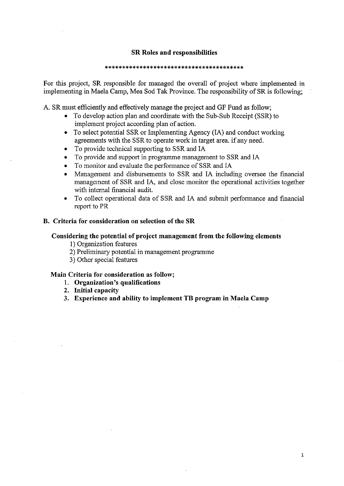#### **SR Roles and responsibilities**

#### 

For this project, SR responsible for managed the overall of project where implemented in implementing in Maela Camp, Mea Sod Tak Province. The responsibility of SR is following;

A. SR must efficiently and effectively manage the project and GF Fund as follow;

- To develop action plan and coordinate with the Sub-Sub Receipt (SSR) to  $\bullet$ implement project according plan of action.
- To select potential SSR or Implementing Agency (IA) and conduct working agreements with the SSR to operate work in target area. if any need.
- To provide technical supporting to SSR and IA
- To provide and support in programme management to SSR and IA
- To monitor and evaluate the performance of SSR and IA
- Management and disbursements to SSR and IA including oversee the financial management of SSR and IA, and close monitor the operational activities together with internal financial audit.
- To collect operational data of SSR and IA and submit performance and financial report to PR

### B. Criteria for consideration on selection of the SR

#### Considering the potential of project management from the following elements

- 1) Organization features
- 2) Preliminary potential in management programme
- 3) Other special features

#### Main Criteria for consideration as follow;

- 1. Organization's qualifications
- 2. Initial capacity
- 3. Experience and ability to implement TB program in Maela Camp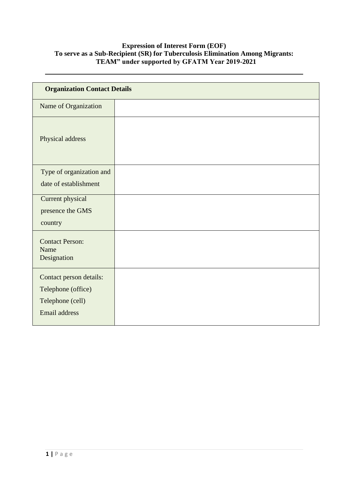## **Expression of Interest Form (EOF) To serve as a Sub-Recipient (SR) for Tuberculosis Elimination Among Migrants: TEAM" under supported by GFATM Year 2019-2021**

| <b>Organization Contact Details</b>           |  |  |
|-----------------------------------------------|--|--|
| Name of Organization                          |  |  |
| Physical address                              |  |  |
| Type of organization and                      |  |  |
| date of establishment                         |  |  |
| <b>Current physical</b>                       |  |  |
| presence the GMS                              |  |  |
| country                                       |  |  |
| <b>Contact Person:</b><br>Name<br>Designation |  |  |
| Contact person details:                       |  |  |
| Telephone (office)                            |  |  |
| Telephone (cell)                              |  |  |
| Email address                                 |  |  |
|                                               |  |  |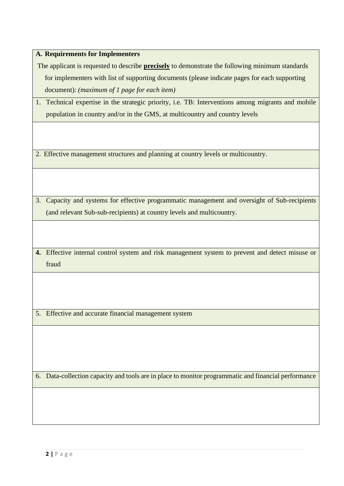|  |  |  |  | A. Requirements for Implementers |
|--|--|--|--|----------------------------------|
|--|--|--|--|----------------------------------|

The applicant is requested to describe **precisely** to demonstrate the following minimum standards for implementers with list of supporting documents (please indicate pages for each supporting document): *(maximum of 1 page for each item)*

| 1. Technical expertise in the strategic priority, i.e. TB: Interventions among migrants and mobile |
|----------------------------------------------------------------------------------------------------|
| population in country and/or in the GMS, at multicountry and country levels                        |

2. Effective management structures and planning at country levels or multicountry.

3. Capacity and systems for effective programmatic management and oversight of Sub-recipients (and relevant Sub-sub-recipients) at country levels and multicountry.

**4.** Effective internal control system and risk management system to prevent and detect misuse or fraud

5. Effective and accurate financial management system

6. Data-collection capacity and tools are in place to monitor programmatic and financial performance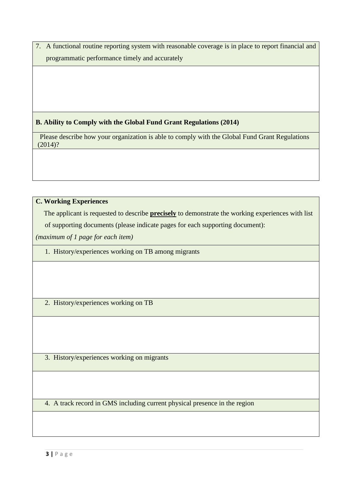7. A functional routine reporting system with reasonable coverage is in place to report financial and programmatic performance timely and accurately

# **B. Ability to Comply with the Global Fund Grant Regulations (2014)**

Please describe how your organization is able to comply with the Global Fund Grant Regulations (2014)?

# **C. Working Experiences**

The applicant is requested to describe **precisely** to demonstrate the working experiences with list

of supporting documents (please indicate pages for each supporting document):

*(maximum of 1 page for each item)*

1. History/experiences working on TB among migrants

2. History/experiences working on TB

3. History/experiences working on migrants

4. A track record in GMS including current physical presence in the region